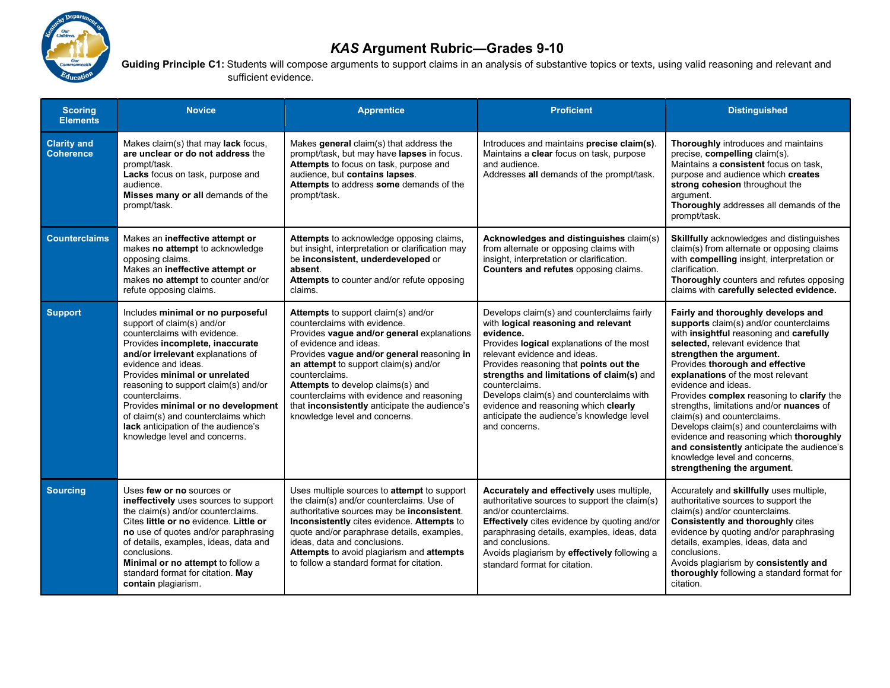

## KAS Argument Rubric—Grades 9-10

Guiding Principle C1: Students will compose arguments to support claims in an analysis of substantive topics or texts, using valid reasoning and relevant and sufficient evidence.

| <b>Scoring</b><br><b>Elements</b>      | <b>Novice</b>                                                                                                                                                                                                                                                                                                                                                                                                                                  | <b>Apprentice</b>                                                                                                                                                                                                                                                                                                                                                                                                               | <b>Proficient</b>                                                                                                                                                                                                                                                                                                                                                                                                                      | <b>Distinguished</b>                                                                                                                                                                                                                                                                                                                                                                                                                                                                                                                                                                                                |
|----------------------------------------|------------------------------------------------------------------------------------------------------------------------------------------------------------------------------------------------------------------------------------------------------------------------------------------------------------------------------------------------------------------------------------------------------------------------------------------------|---------------------------------------------------------------------------------------------------------------------------------------------------------------------------------------------------------------------------------------------------------------------------------------------------------------------------------------------------------------------------------------------------------------------------------|----------------------------------------------------------------------------------------------------------------------------------------------------------------------------------------------------------------------------------------------------------------------------------------------------------------------------------------------------------------------------------------------------------------------------------------|---------------------------------------------------------------------------------------------------------------------------------------------------------------------------------------------------------------------------------------------------------------------------------------------------------------------------------------------------------------------------------------------------------------------------------------------------------------------------------------------------------------------------------------------------------------------------------------------------------------------|
| <b>Clarity and</b><br><b>Coherence</b> | Makes claim(s) that may lack focus,<br>are unclear or do not address the<br>prompt/task.<br>Lacks focus on task, purpose and<br>audience.<br>Misses many or all demands of the<br>prompt/task.                                                                                                                                                                                                                                                 | Makes general claim(s) that address the<br>prompt/task, but may have lapses in focus.<br>Attempts to focus on task, purpose and<br>audience, but contains lapses.<br>Attempts to address some demands of the<br>prompt/task.                                                                                                                                                                                                    | Introduces and maintains precise claim(s).<br>Maintains a clear focus on task, purpose<br>and audience.<br>Addresses all demands of the prompt/task.                                                                                                                                                                                                                                                                                   | <b>Thoroughly</b> introduces and maintains<br>precise, compelling claim(s).<br>Maintains a consistent focus on task,<br>purpose and audience which creates<br>strong cohesion throughout the<br>argument.<br>Thoroughly addresses all demands of the<br>prompt/task.                                                                                                                                                                                                                                                                                                                                                |
| <b>Counterclaims</b>                   | Makes an ineffective attempt or<br>makes no attempt to acknowledge<br>opposing claims.<br>Makes an ineffective attempt or<br>makes no attempt to counter and/or<br>refute opposing claims.                                                                                                                                                                                                                                                     | Attempts to acknowledge opposing claims,<br>but insight, interpretation or clarification may<br>be inconsistent, underdeveloped or<br>absent.<br>Attempts to counter and/or refute opposing<br>claims.                                                                                                                                                                                                                          | Acknowledges and distinguishes claim(s)<br>from alternate or opposing claims with<br>insight, interpretation or clarification.<br>Counters and refutes opposing claims.                                                                                                                                                                                                                                                                | Skillfully acknowledges and distinguishes<br>claim(s) from alternate or opposing claims<br>with compelling insight, interpretation or<br>clarification.<br>Thoroughly counters and refutes opposing<br>claims with carefully selected evidence.                                                                                                                                                                                                                                                                                                                                                                     |
| <b>Support</b>                         | Includes minimal or no purposeful<br>support of claim(s) and/or<br>counterclaims with evidence.<br>Provides incomplete, inaccurate<br>and/or irrelevant explanations of<br>evidence and ideas.<br>Provides minimal or unrelated<br>reasoning to support claim(s) and/or<br>counterclaims.<br>Provides minimal or no development<br>of claim(s) and counterclaims which<br>lack anticipation of the audience's<br>knowledge level and concerns. | <b>Attempts</b> to support claim(s) and/or<br>counterclaims with evidence.<br>Provides vague and/or general explanations<br>of evidence and ideas.<br>Provides vague and/or general reasoning in<br>an attempt to support claim(s) and/or<br>counterclaims.<br>Attempts to develop claims(s) and<br>counterclaims with evidence and reasoning<br>that inconsistently anticipate the audience's<br>knowledge level and concerns. | Develops claim(s) and counterclaims fairly<br>with logical reasoning and relevant<br>evidence.<br>Provides logical explanations of the most<br>relevant evidence and ideas.<br>Provides reasoning that points out the<br>strengths and limitations of claim(s) and<br>counterclaims.<br>Develops claim(s) and counterclaims with<br>evidence and reasoning which clearly<br>anticipate the audience's knowledge level<br>and concerns. | Fairly and thoroughly develops and<br>supports claim(s) and/or counterclaims<br>with insightful reasoning and carefully<br>selected, relevant evidence that<br>strengthen the argument.<br>Provides thorough and effective<br>explanations of the most relevant<br>evidence and ideas.<br>Provides complex reasoning to clarify the<br>strengths, limitations and/or nuances of<br>claim(s) and counterclaims.<br>Develops claim(s) and counterclaims with<br>evidence and reasoning which thoroughly<br>and consistently anticipate the audience's<br>knowledge level and concerns,<br>strengthening the argument. |
| <b>Sourcing</b>                        | Uses few or no sources or<br>ineffectively uses sources to support<br>the claim(s) and/or counterclaims.<br>Cites little or no evidence. Little or<br>no use of quotes and/or paraphrasing<br>of details, examples, ideas, data and<br>conclusions.<br>Minimal or no attempt to follow a<br>standard format for citation. May<br>contain plagiarism.                                                                                           | Uses multiple sources to attempt to support<br>the claim(s) and/or counterclaims. Use of<br>authoritative sources may be inconsistent.<br>Inconsistently cites evidence. Attempts to<br>quote and/or paraphrase details, examples,<br>ideas, data and conclusions.<br>Attempts to avoid plagiarism and attempts<br>to follow a standard format for citation.                                                                    | Accurately and effectively uses multiple,<br>authoritative sources to support the claim(s)<br>and/or counterclaims.<br>Effectively cites evidence by quoting and/or<br>paraphrasing details, examples, ideas, data<br>and conclusions.<br>Avoids plagiarism by effectively following a<br>standard format for citation.                                                                                                                | Accurately and skillfully uses multiple,<br>authoritative sources to support the<br>claim(s) and/or counterclaims.<br><b>Consistently and thoroughly cites</b><br>evidence by quoting and/or paraphrasing<br>details, examples, ideas, data and<br>conclusions.<br>Avoids plagiarism by consistently and<br>thoroughly following a standard format for<br>citation.                                                                                                                                                                                                                                                 |